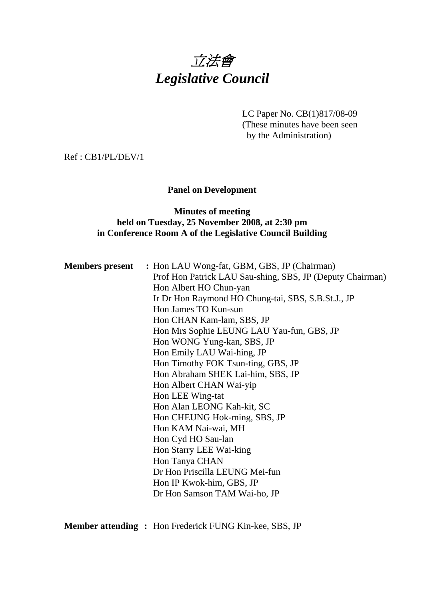# 立法會 *Legislative Council*

LC Paper No. CB(1)817/08-09 (These minutes have been seen by the Administration)

Ref : CB1/PL/DEV/1

## **Panel on Development**

## **Minutes of meeting held on Tuesday, 25 November 2008, at 2:30 pm in Conference Room A of the Legislative Council Building**

|  | <b>Members present</b> : Hon LAU Wong-fat, GBM, GBS, JP (Chairman) |
|--|--------------------------------------------------------------------|
|  | Prof Hon Patrick LAU Sau-shing, SBS, JP (Deputy Chairman)          |
|  | Hon Albert HO Chun-yan                                             |
|  | Ir Dr Hon Raymond HO Chung-tai, SBS, S.B.St.J., JP                 |
|  | Hon James TO Kun-sun                                               |
|  | Hon CHAN Kam-lam, SBS, JP                                          |
|  | Hon Mrs Sophie LEUNG LAU Yau-fun, GBS, JP                          |
|  | Hon WONG Yung-kan, SBS, JP                                         |
|  | Hon Emily LAU Wai-hing, JP                                         |
|  | Hon Timothy FOK Tsun-ting, GBS, JP                                 |
|  | Hon Abraham SHEK Lai-him, SBS, JP                                  |
|  | Hon Albert CHAN Wai-yip                                            |
|  | Hon LEE Wing-tat                                                   |
|  | Hon Alan LEONG Kah-kit, SC                                         |
|  | Hon CHEUNG Hok-ming, SBS, JP                                       |
|  | Hon KAM Nai-wai, MH                                                |
|  | Hon Cyd HO Sau-lan                                                 |
|  | Hon Starry LEE Wai-king                                            |
|  | Hon Tanya CHAN                                                     |
|  | Dr Hon Priscilla LEUNG Mei-fun                                     |
|  | Hon IP Kwok-him, GBS, JP                                           |
|  | Dr Hon Samson TAM Wai-ho, JP                                       |
|  |                                                                    |

**Member attending :** Hon Frederick FUNG Kin-kee, SBS, JP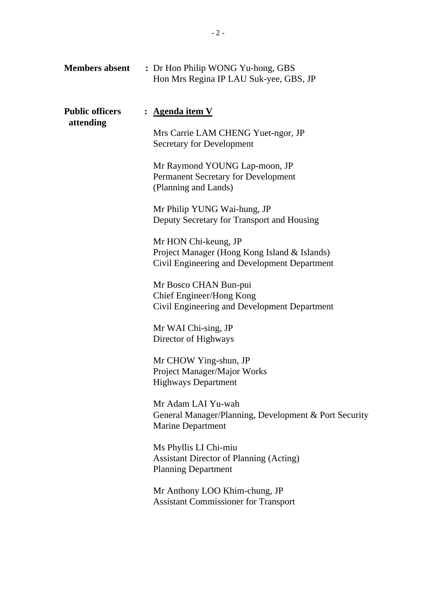| <b>Members absent</b>               | : Dr Hon Philip WONG Yu-hong, GBS<br>Hon Mrs Regina IP LAU Suk-yee, GBS, JP                                                                                                                                                                                                                                                                                                                                                                                                                                                                                                                                                                                                                                                                                                                |
|-------------------------------------|--------------------------------------------------------------------------------------------------------------------------------------------------------------------------------------------------------------------------------------------------------------------------------------------------------------------------------------------------------------------------------------------------------------------------------------------------------------------------------------------------------------------------------------------------------------------------------------------------------------------------------------------------------------------------------------------------------------------------------------------------------------------------------------------|
| <b>Public officers</b><br>attending | : <u>Agenda item V</u><br>Mrs Carrie LAM CHENG Yuet-ngor, JP<br><b>Secretary for Development</b><br>Mr Raymond YOUNG Lap-moon, JP<br><b>Permanent Secretary for Development</b><br>(Planning and Lands)<br>Mr Philip YUNG Wai-hung, JP<br>Deputy Secretary for Transport and Housing<br>Mr HON Chi-keung, JP<br>Project Manager (Hong Kong Island & Islands)<br>Civil Engineering and Development Department<br>Mr Bosco CHAN Bun-pui<br>Chief Engineer/Hong Kong<br>Civil Engineering and Development Department<br>Mr WAI Chi-sing, JP<br>Director of Highways<br>Mr CHOW Ying-shun, JP<br>Project Manager/Major Works<br><b>Highways Department</b><br>Mr Adam LAI Yu-wah<br>General Manager/Planning, Development & Port Security<br><b>Marine Department</b><br>Ms Phyllis LI Chi-miu |
|                                     | <b>Assistant Director of Planning (Acting)</b><br><b>Planning Department</b><br>Mr Anthony LOO Khim-chung, JP<br><b>Assistant Commissioner for Transport</b>                                                                                                                                                                                                                                                                                                                                                                                                                                                                                                                                                                                                                               |
|                                     |                                                                                                                                                                                                                                                                                                                                                                                                                                                                                                                                                                                                                                                                                                                                                                                            |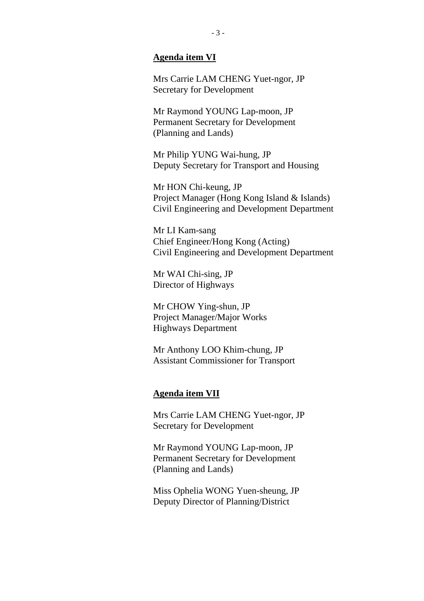#### **Agenda item VI**

Mrs Carrie LAM CHENG Yuet-ngor, JP Secretary for Development

Mr Raymond YOUNG Lap-moon, JP Permanent Secretary for Development (Planning and Lands)

Mr Philip YUNG Wai-hung, JP Deputy Secretary for Transport and Housing

Mr HON Chi-keung, JP Project Manager (Hong Kong Island & Islands) Civil Engineering and Development Department

Mr LI Kam-sang Chief Engineer/Hong Kong (Acting) Civil Engineering and Development Department

Mr WAI Chi-sing, JP Director of Highways

Mr CHOW Ying-shun, JP Project Manager/Major Works Highways Department

Mr Anthony LOO Khim-chung, JP Assistant Commissioner for Transport

#### **Agenda item VII**

Mrs Carrie LAM CHENG Yuet-ngor, JP Secretary for Development

Mr Raymond YOUNG Lap-moon, JP Permanent Secretary for Development (Planning and Lands)

Miss Ophelia WONG Yuen-sheung, JP Deputy Director of Planning/District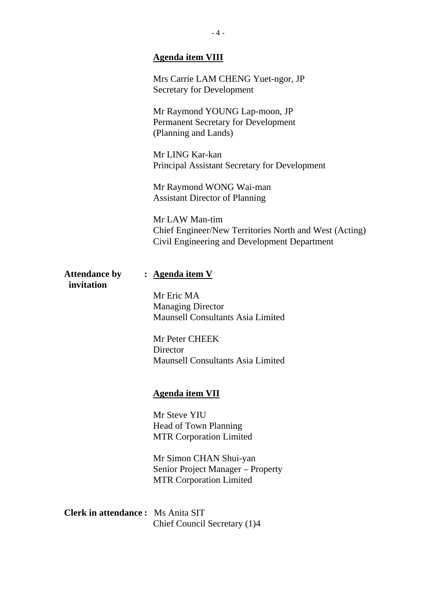# **Agenda item VIII**

|                                          | Mrs Carrie LAM CHENG Yuet-ngor, JP<br>Secretary for Development                                                          |
|------------------------------------------|--------------------------------------------------------------------------------------------------------------------------|
|                                          | Mr Raymond YOUNG Lap-moon, JP<br>Permanent Secretary for Development<br>(Planning and Lands)                             |
|                                          | Mr LING Kar-kan<br>Principal Assistant Secretary for Development                                                         |
|                                          | Mr Raymond WONG Wai-man<br><b>Assistant Director of Planning</b>                                                         |
|                                          | Mr LAW Man-tim<br>Chief Engineer/New Territories North and West (Acting)<br>Civil Engineering and Development Department |
| <b>Attendance by</b><br>invitation       | : <u>Agenda item V</u>                                                                                                   |
|                                          | Mr Eric MA<br><b>Managing Director</b>                                                                                   |
|                                          | <b>Maunsell Consultants Asia Limited</b>                                                                                 |
|                                          | Mr Peter CHEEK<br>Director                                                                                               |
|                                          | <b>Maunsell Consultants Asia Limited</b>                                                                                 |
|                                          | <u>Agenda item VII</u>                                                                                                   |
|                                          | Mr Steve YIU<br>Head of Town Planning                                                                                    |
|                                          | <b>MTR Corporation Limited</b>                                                                                           |
|                                          | Mr Simon CHAN Shui-yan<br>Senior Project Manager – Property<br><b>MTR Corporation Limited</b>                            |
| <b>Clerk in attendance:</b> Ms Anita SIT | Chief Council Secretary (1)4                                                                                             |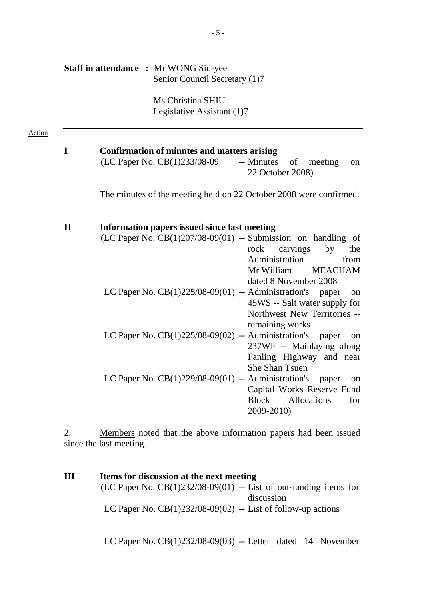|              | <b>Staff in attendance : Mr WONG Siu-yee</b><br>Senior Council Secretary (1)7                                                                                                                        |
|--------------|------------------------------------------------------------------------------------------------------------------------------------------------------------------------------------------------------|
|              | Ms Christina SHIU<br>Legislative Assistant (1)7                                                                                                                                                      |
| $\mathbf I$  | <b>Confirmation of minutes and matters arising</b>                                                                                                                                                   |
|              | (LC Paper No. CB(1)233/08-09<br>-- Minutes<br>of<br>meeting<br>22 October 2008)                                                                                                                      |
|              | The minutes of the meeting held on 22 October 2008 were confirmed.                                                                                                                                   |
| $\mathbf{I}$ | <b>Information papers issued since last meeting</b><br>$(LC$ Paper No. $CB(1)207/08-09(01)$ -- Submission on handling of<br>carvings<br>rock<br>by<br>Administration<br>Mr William<br><b>MEACHAM</b> |
|              | dated 8 November 2008<br>LC Paper No. $CB(1)225/08-09(01)$ -- Administration's paper<br>45WS -- Salt water supply for<br>Northwest New Territories --                                                |
|              | remaining works<br>LC Paper No. $CB(1)225/08-09(02)$ -- Administration's<br>paper<br>237WF -- Mainlaying along<br>Fanling Highway and near<br><b>She Shan Tsuen</b>                                  |
|              | LC Paper No. $CB(1)229/08-09(01)$ -- Administration's<br>paper<br>Capital Works Reserve Fund<br><b>Block</b><br>Allocations<br>2009-2010)                                                            |

2. Members noted that the above information papers had been issued since the last meeting.

**III Items for discussion at the next meeting**  (LC Paper No.  $CB(1)232/08-09(01)$  -- List of outstanding items for discussion LC Paper No.  $CB(1)232/08-09(02)$  -- List of follow-up actions

LC Paper No. CB(1)232/08-09(03) -- Letter dated 14 November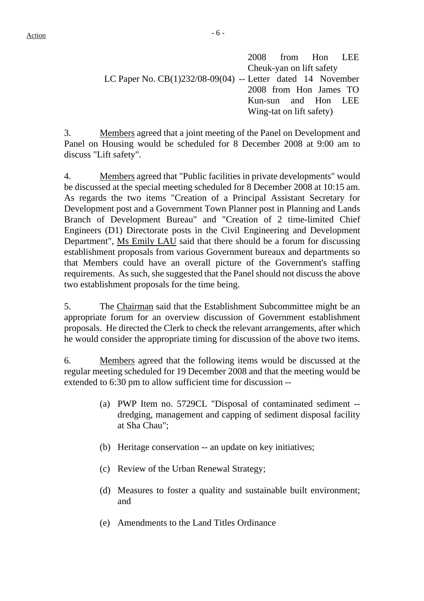$Action$ 

3. Members agreed that a joint meeting of the Panel on Development and Panel on Housing would be scheduled for 8 December 2008 at 9:00 am to discuss "Lift safety".

4. Members agreed that "Public facilities in private developments" would be discussed at the special meeting scheduled for 8 December 2008 at 10:15 am. As regards the two items "Creation of a Principal Assistant Secretary for Development post and a Government Town Planner post in Planning and Lands Branch of Development Bureau" and "Creation of 2 time-limited Chief Engineers (D1) Directorate posts in the Civil Engineering and Development Department", Ms Emily LAU said that there should be a forum for discussing establishment proposals from various Government bureaux and departments so that Members could have an overall picture of the Government's staffing requirements. As such, she suggested that the Panel should not discuss the above two establishment proposals for the time being.

5. The Chairman said that the Establishment Subcommittee might be an appropriate forum for an overview discussion of Government establishment proposals. He directed the Clerk to check the relevant arrangements, after which he would consider the appropriate timing for discussion of the above two items.

6. Members agreed that the following items would be discussed at the regular meeting scheduled for 19 December 2008 and that the meeting would be extended to 6:30 pm to allow sufficient time for discussion --

- (a) PWP Item no. 5729CL "Disposal of contaminated sediment dredging, management and capping of sediment disposal facility at Sha Chau";
- (b) Heritage conservation -- an update on key initiatives;
- (c) Review of the Urban Renewal Strategy;
- (d) Measures to foster a quality and sustainable built environment; and
- (e) Amendments to the Land Titles Ordinance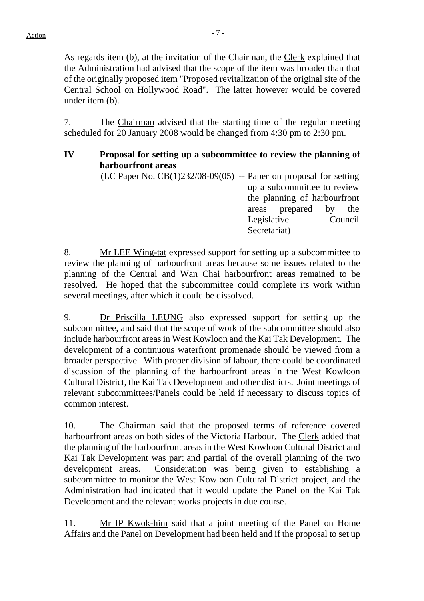As regards item (b), at the invitation of the Chairman, the Clerk explained that the Administration had advised that the scope of the item was broader than that of the originally proposed item "Proposed revitalization of the original site of the Central School on Hollywood Road". The latter however would be covered under item (b)

7. The Chairman advised that the starting time of the regular meeting scheduled for 20 January 2008 would be changed from 4:30 pm to 2:30 pm.

#### **IV Proposal for setting up a subcommittee to review the planning of harbourfront areas**

 $(LC$  Paper No.  $CB(1)232/08-09(05)$  -- Paper on proposal for setting up a subcommittee to review the planning of harbourfront areas prepared by the Legislative Council Secretariat)

8. Mr LEE Wing-tat expressed support for setting up a subcommittee to review the planning of harbourfront areas because some issues related to the planning of the Central and Wan Chai harbourfront areas remained to be resolved. He hoped that the subcommittee could complete its work within several meetings, after which it could be dissolved.

9. Dr Priscilla LEUNG also expressed support for setting up the subcommittee, and said that the scope of work of the subcommittee should also include harbourfront areas in West Kowloon and the Kai Tak Development. The development of a continuous waterfront promenade should be viewed from a broader perspective. With proper division of labour, there could be coordinated discussion of the planning of the harbourfront areas in the West Kowloon Cultural District, the Kai Tak Development and other districts. Joint meetings of relevant subcommittees/Panels could be held if necessary to discuss topics of common interest.

10. The Chairman said that the proposed terms of reference covered harbourfront areas on both sides of the Victoria Harbour. The Clerk added that the planning of the harbourfront areas in the West Kowloon Cultural District and Kai Tak Development was part and partial of the overall planning of the two development areas. Consideration was being given to establishing a subcommittee to monitor the West Kowloon Cultural District project, and the Administration had indicated that it would update the Panel on the Kai Tak Development and the relevant works projects in due course.

11. Mr IP Kwok-him said that a joint meeting of the Panel on Home Affairs and the Panel on Development had been held and if the proposal to set up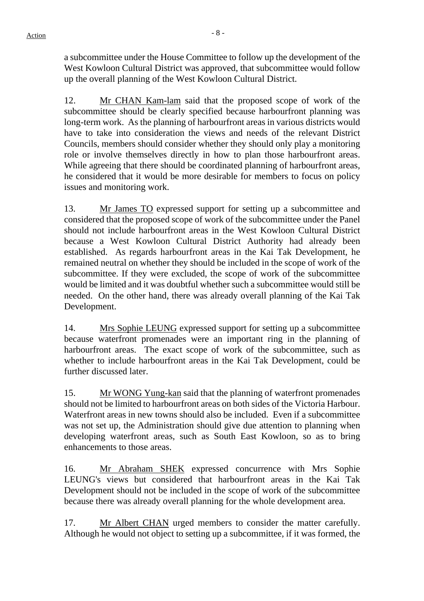a subcommittee under the House Committee to follow up the development of the West Kowloon Cultural District was approved, that subcommittee would follow up the overall planning of the West Kowloon Cultural District.

12. Mr CHAN Kam-lam said that the proposed scope of work of the subcommittee should be clearly specified because harbourfront planning was long-term work. As the planning of harbourfront areas in various districts would have to take into consideration the views and needs of the relevant District Councils, members should consider whether they should only play a monitoring role or involve themselves directly in how to plan those harbourfront areas. While agreeing that there should be coordinated planning of harbourfront areas, he considered that it would be more desirable for members to focus on policy issues and monitoring work.

13. Mr James TO expressed support for setting up a subcommittee and considered that the proposed scope of work of the subcommittee under the Panel should not include harbourfront areas in the West Kowloon Cultural District because a West Kowloon Cultural District Authority had already been established. As regards harbourfront areas in the Kai Tak Development, he remained neutral on whether they should be included in the scope of work of the subcommittee. If they were excluded, the scope of work of the subcommittee would be limited and it was doubtful whether such a subcommittee would still be needed. On the other hand, there was already overall planning of the Kai Tak Development.

14. Mrs Sophie LEUNG expressed support for setting up a subcommittee because waterfront promenades were an important ring in the planning of harbourfront areas. The exact scope of work of the subcommittee, such as whether to include harbourfront areas in the Kai Tak Development, could be further discussed later.

15. Mr WONG Yung-kan said that the planning of waterfront promenades should not be limited to harbourfront areas on both sides of the Victoria Harbour. Waterfront areas in new towns should also be included. Even if a subcommittee was not set up, the Administration should give due attention to planning when developing waterfront areas, such as South East Kowloon, so as to bring enhancements to those areas.

16. Mr Abraham SHEK expressed concurrence with Mrs Sophie LEUNG's views but considered that harbourfront areas in the Kai Tak Development should not be included in the scope of work of the subcommittee because there was already overall planning for the whole development area.

17. Mr Albert CHAN urged members to consider the matter carefully. Although he would not object to setting up a subcommittee, if it was formed, the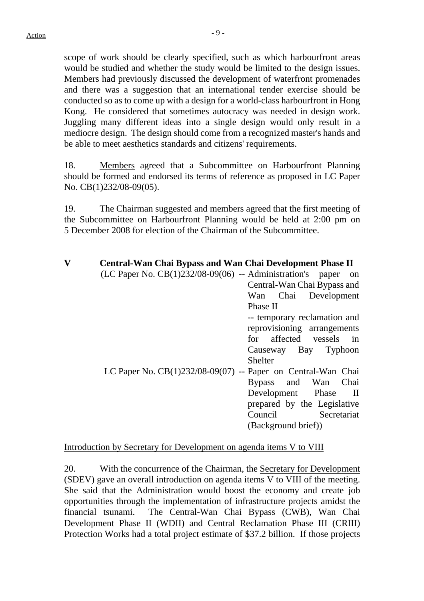scope of work should be clearly specified, such as which harbourfront areas would be studied and whether the study would be limited to the design issues. Members had previously discussed the development of waterfront promenades and there was a suggestion that an international tender exercise should be conducted so as to come up with a design for a world-class harbourfront in Hong Kong. He considered that sometimes autocracy was needed in design work. Juggling many different ideas into a single design would only result in a mediocre design. The design should come from a recognized master's hands and be able to meet aesthetics standards and citizens' requirements.

18. Members agreed that a Subcommittee on Harbourfront Planning should be formed and endorsed its terms of reference as proposed in LC Paper No. CB(1)232/08-09(05).

19. The Chairman suggested and members agreed that the first meeting of the Subcommittee on Harbourfront Planning would be held at 2:00 pm on 5 December 2008 for election of the Chairman of the Subcommittee.

| $\overline{\mathbf{V}}$ | Central-Wan Chai Bypass and Wan Chai Development Phase II<br>$(LC$ Paper No. $CB(1)232/08-09(06)$ -- Administration's paper on |
|-------------------------|--------------------------------------------------------------------------------------------------------------------------------|
|                         | Central-Wan Chai Bypass and                                                                                                    |
|                         | Wan Chai Development                                                                                                           |
|                         | Phase II                                                                                                                       |
|                         | -- temporary reclamation and                                                                                                   |
|                         | reprovisioning arrangements                                                                                                    |
|                         | for affected vessels in                                                                                                        |
|                         | Causeway Bay Typhoon                                                                                                           |
|                         | <b>Shelter</b>                                                                                                                 |
|                         | LC Paper No. $CB(1)232/08-09(07)$ -- Paper on Central-Wan Chai                                                                 |
|                         | Bypass and Wan Chai                                                                                                            |
|                         | Development Phase II                                                                                                           |
|                         | prepared by the Legislative                                                                                                    |
|                         | Council Secretariat                                                                                                            |
|                         | (Background brief))                                                                                                            |
|                         |                                                                                                                                |

#### Introduction by Secretary for Development on agenda items V to VIII

20. With the concurrence of the Chairman, the Secretary for Development (SDEV) gave an overall introduction on agenda items V to VIII of the meeting. She said that the Administration would boost the economy and create job opportunities through the implementation of infrastructure projects amidst the financial tsunami. The Central-Wan Chai Bypass (CWB), Wan Chai Development Phase II (WDII) and Central Reclamation Phase III (CRIII) Protection Works had a total project estimate of \$37.2 billion. If those projects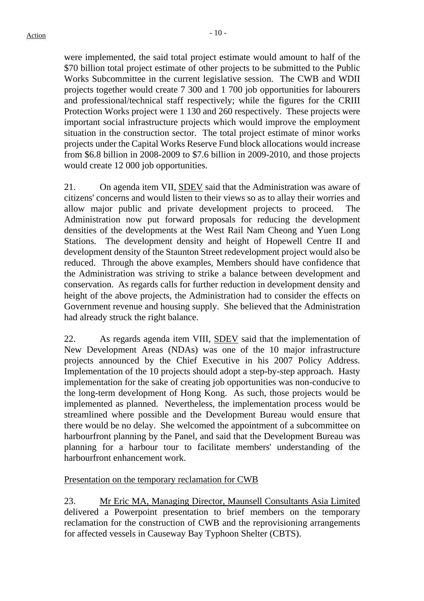were implemented, the said total project estimate would amount to half of the \$70 billion total project estimate of other projects to be submitted to the Public Works Subcommittee in the current legislative session. The CWB and WDII projects together would create 7 300 and 1 700 job opportunities for labourers and professional/technical staff respectively; while the figures for the CRIII Protection Works project were 1 130 and 260 respectively. These projects were important social infrastructure projects which would improve the employment situation in the construction sector. The total project estimate of minor works projects under the Capital Works Reserve Fund block allocations would increase from \$6.8 billion in 2008-2009 to \$7.6 billion in 2009-2010, and those projects would create 12 000 job opportunities.

21. On agenda item VII, SDEV said that the Administration was aware of citizens' concerns and would listen to their views so as to allay their worries and allow major public and private development projects to proceed. The Administration now put forward proposals for reducing the development densities of the developments at the West Rail Nam Cheong and Yuen Long Stations. The development density and height of Hopewell Centre II and development density of the Staunton Street redevelopment project would also be reduced. Through the above examples, Members should have confidence that the Administration was striving to strike a balance between development and conservation. As regards calls for further reduction in development density and height of the above projects, the Administration had to consider the effects on Government revenue and housing supply. She believed that the Administration had already struck the right balance.

22. As regards agenda item VIII, SDEV said that the implementation of New Development Areas (NDAs) was one of the 10 major infrastructure projects announced by the Chief Executive in his 2007 Policy Address. Implementation of the 10 projects should adopt a step-by-step approach. Hasty implementation for the sake of creating job opportunities was non-conducive to the long-term development of Hong Kong. As such, those projects would be implemented as planned. Nevertheless, the implementation process would be streamlined where possible and the Development Bureau would ensure that there would be no delay. She welcomed the appointment of a subcommittee on harbourfront planning by the Panel, and said that the Development Bureau was planning for a harbour tour to facilitate members' understanding of the harbourfront enhancement work.

## Presentation on the temporary reclamation for CWB

23. Mr Eric MA, Managing Director, Maunsell Consultants Asia Limited delivered a Powerpoint presentation to brief members on the temporary reclamation for the construction of CWB and the reprovisioning arrangements for affected vessels in Causeway Bay Typhoon Shelter (CBTS).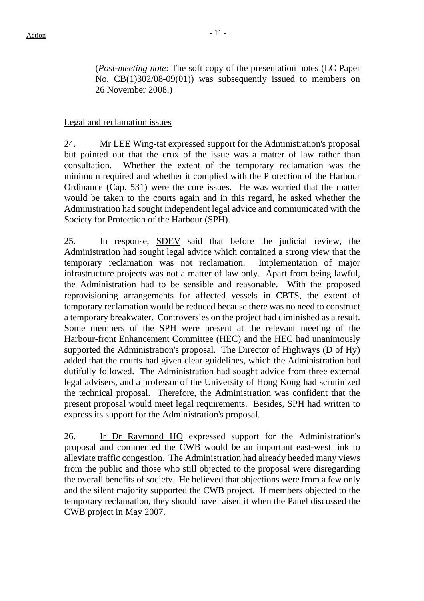(*Post-meeting note*: The soft copy of the presentation notes (LC Paper No. CB(1)302/08-09(01)) was subsequently issued to members on 26 November 2008.)

## Legal and reclamation issues

24. Mr LEE Wing-tat expressed support for the Administration's proposal but pointed out that the crux of the issue was a matter of law rather than consultation. Whether the extent of the temporary reclamation was the minimum required and whether it complied with the Protection of the Harbour Ordinance (Cap. 531) were the core issues. He was worried that the matter would be taken to the courts again and in this regard, he asked whether the Administration had sought independent legal advice and communicated with the Society for Protection of the Harbour (SPH).

25. In response, SDEV said that before the judicial review, the Administration had sought legal advice which contained a strong view that the temporary reclamation was not reclamation. Implementation of major infrastructure projects was not a matter of law only. Apart from being lawful, the Administration had to be sensible and reasonable. With the proposed reprovisioning arrangements for affected vessels in CBTS, the extent of temporary reclamation would be reduced because there was no need to construct a temporary breakwater. Controversies on the project had diminished as a result. Some members of the SPH were present at the relevant meeting of the Harbour-front Enhancement Committee (HEC) and the HEC had unanimously supported the Administration's proposal. The Director of Highways (D of Hy) added that the courts had given clear guidelines, which the Administration had dutifully followed. The Administration had sought advice from three external legal advisers, and a professor of the University of Hong Kong had scrutinized the technical proposal. Therefore, the Administration was confident that the present proposal would meet legal requirements. Besides, SPH had written to express its support for the Administration's proposal.

26. Ir Dr Raymond HO expressed support for the Administration's proposal and commented the CWB would be an important east-west link to alleviate traffic congestion. The Administration had already heeded many views from the public and those who still objected to the proposal were disregarding the overall benefits of society. He believed that objections were from a few only and the silent majority supported the CWB project. If members objected to the temporary reclamation, they should have raised it when the Panel discussed the CWB project in May 2007.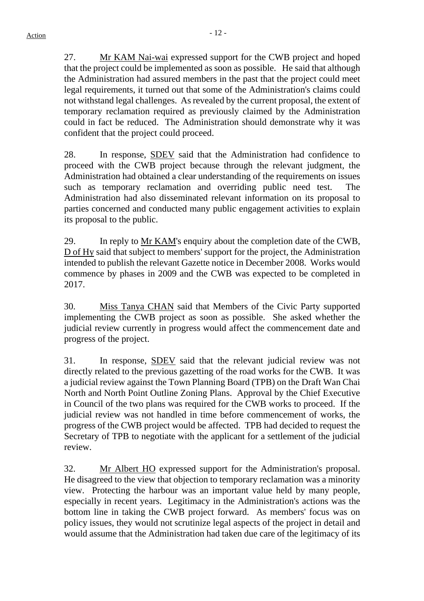27. Mr KAM Nai-wai expressed support for the CWB project and hoped that the project could be implemented as soon as possible. He said that although the Administration had assured members in the past that the project could meet legal requirements, it turned out that some of the Administration's claims could not withstand legal challenges. As revealed by the current proposal, the extent of temporary reclamation required as previously claimed by the Administration could in fact be reduced. The Administration should demonstrate why it was confident that the project could proceed.

28. In response, SDEV said that the Administration had confidence to proceed with the CWB project because through the relevant judgment, the Administration had obtained a clear understanding of the requirements on issues such as temporary reclamation and overriding public need test. The Administration had also disseminated relevant information on its proposal to parties concerned and conducted many public engagement activities to explain its proposal to the public.

29. In reply to Mr KAM's enquiry about the completion date of the CWB, D of Hy said that subject to members' support for the project, the Administration intended to publish the relevant Gazette notice in December 2008. Works would commence by phases in 2009 and the CWB was expected to be completed in 2017.

30. Miss Tanya CHAN said that Members of the Civic Party supported implementing the CWB project as soon as possible. She asked whether the judicial review currently in progress would affect the commencement date and progress of the project.

31. In response, SDEV said that the relevant judicial review was not directly related to the previous gazetting of the road works for the CWB. It was a judicial review against the Town Planning Board (TPB) on the Draft Wan Chai North and North Point Outline Zoning Plans. Approval by the Chief Executive in Council of the two plans was required for the CWB works to proceed. If the judicial review was not handled in time before commencement of works, the progress of the CWB project would be affected. TPB had decided to request the Secretary of TPB to negotiate with the applicant for a settlement of the judicial review.

32. Mr Albert HO expressed support for the Administration's proposal. He disagreed to the view that objection to temporary reclamation was a minority view. Protecting the harbour was an important value held by many people, especially in recent years. Legitimacy in the Administration's actions was the bottom line in taking the CWB project forward. As members' focus was on policy issues, they would not scrutinize legal aspects of the project in detail and would assume that the Administration had taken due care of the legitimacy of its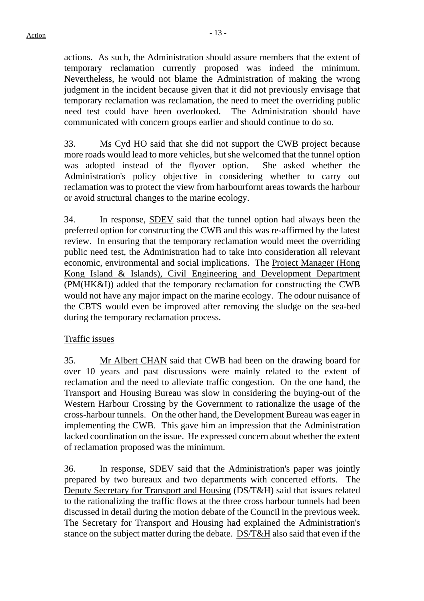actions. As such, the Administration should assure members that the extent of temporary reclamation currently proposed was indeed the minimum. Nevertheless, he would not blame the Administration of making the wrong judgment in the incident because given that it did not previously envisage that temporary reclamation was reclamation, the need to meet the overriding public need test could have been overlooked. The Administration should have communicated with concern groups earlier and should continue to do so.

33. Ms Cyd HO said that she did not support the CWB project because more roads would lead to more vehicles, but she welcomed that the tunnel option was adopted instead of the flyover option. She asked whether the Administration's policy objective in considering whether to carry out reclamation was to protect the view from harbourfornt areas towards the harbour or avoid structural changes to the marine ecology.

34. In response, SDEV said that the tunnel option had always been the preferred option for constructing the CWB and this was re-affirmed by the latest review. In ensuring that the temporary reclamation would meet the overriding public need test, the Administration had to take into consideration all relevant economic, environmental and social implications. The Project Manager (Hong Kong Island & Islands), Civil Engineering and Development Department (PM(HK&I)) added that the temporary reclamation for constructing the CWB would not have any major impact on the marine ecology. The odour nuisance of the CBTS would even be improved after removing the sludge on the sea-bed during the temporary reclamation process.

## Traffic issues

35. Mr Albert CHAN said that CWB had been on the drawing board for over 10 years and past discussions were mainly related to the extent of reclamation and the need to alleviate traffic congestion. On the one hand, the Transport and Housing Bureau was slow in considering the buying-out of the Western Harbour Crossing by the Government to rationalize the usage of the cross-harbour tunnels. On the other hand, the Development Bureau was eager in implementing the CWB. This gave him an impression that the Administration lacked coordination on the issue. He expressed concern about whether the extent of reclamation proposed was the minimum.

36. In response, SDEV said that the Administration's paper was jointly prepared by two bureaux and two departments with concerted efforts. The Deputy Secretary for Transport and Housing (DS/T&H) said that issues related to the rationalizing the traffic flows at the three cross harbour tunnels had been discussed in detail during the motion debate of the Council in the previous week. The Secretary for Transport and Housing had explained the Administration's stance on the subject matter during the debate. DS/T&H also said that even if the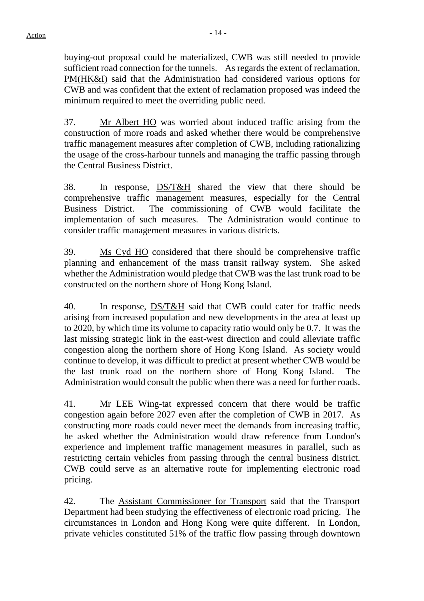buying-out proposal could be materialized, CWB was still needed to provide sufficient road connection for the tunnels. As regards the extent of reclamation, PM(HK&I) said that the Administration had considered various options for CWB and was confident that the extent of reclamation proposed was indeed the minimum required to meet the overriding public need.

37. Mr Albert HO was worried about induced traffic arising from the construction of more roads and asked whether there would be comprehensive traffic management measures after completion of CWB, including rationalizing the usage of the cross-harbour tunnels and managing the traffic passing through the Central Business District.

38. In response, DS/T&H shared the view that there should be comprehensive traffic management measures, especially for the Central Business District. The commissioning of CWB would facilitate the implementation of such measures. The Administration would continue to consider traffic management measures in various districts.

39. Ms Cyd HO considered that there should be comprehensive traffic planning and enhancement of the mass transit railway system. She asked whether the Administration would pledge that CWB was the last trunk road to be constructed on the northern shore of Hong Kong Island.

40. In response, DS/T&H said that CWB could cater for traffic needs arising from increased population and new developments in the area at least up to 2020, by which time its volume to capacity ratio would only be 0.7. It was the last missing strategic link in the east-west direction and could alleviate traffic congestion along the northern shore of Hong Kong Island. As society would continue to develop, it was difficult to predict at present whether CWB would be the last trunk road on the northern shore of Hong Kong Island. The Administration would consult the public when there was a need for further roads.

41. Mr LEE Wing-tat expressed concern that there would be traffic congestion again before 2027 even after the completion of CWB in 2017. As constructing more roads could never meet the demands from increasing traffic, he asked whether the Administration would draw reference from London's experience and implement traffic management measures in parallel, such as restricting certain vehicles from passing through the central business district. CWB could serve as an alternative route for implementing electronic road pricing.

42. The Assistant Commissioner for Transport said that the Transport Department had been studying the effectiveness of electronic road pricing. The circumstances in London and Hong Kong were quite different. In London, private vehicles constituted 51% of the traffic flow passing through downtown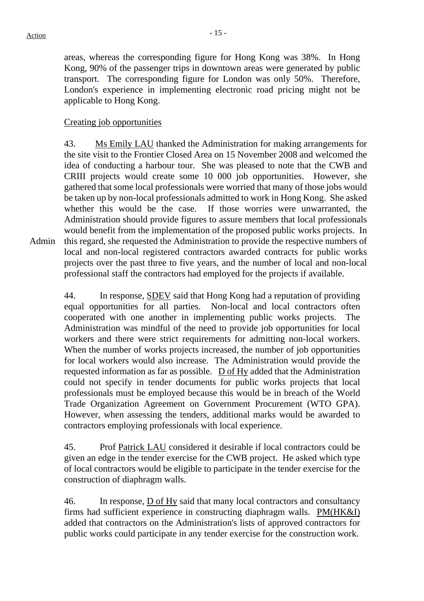areas, whereas the corresponding figure for Hong Kong was 38%. In Hong Kong, 90% of the passenger trips in downtown areas were generated by public transport. The corresponding figure for London was only 50%. Therefore, London's experience in implementing electronic road pricing might not be applicable to Hong Kong.

# Creating job opportunities

Admin 43. Ms Emily LAU thanked the Administration for making arrangements for the site visit to the Frontier Closed Area on 15 November 2008 and welcomed the idea of conducting a harbour tour. She was pleased to note that the CWB and CRIII projects would create some 10 000 job opportunities. However, she gathered that some local professionals were worried that many of those jobs would be taken up by non-local professionals admitted to work in Hong Kong. She asked whether this would be the case. If those worries were unwarranted, the Administration should provide figures to assure members that local professionals would benefit from the implementation of the proposed public works projects. In this regard, she requested the Administration to provide the respective numbers of local and non-local registered contractors awarded contracts for public works projects over the past three to five years, and the number of local and non-local professional staff the contractors had employed for the projects if available.

44. In response, SDEV said that Hong Kong had a reputation of providing equal opportunities for all parties. Non-local and local contractors often cooperated with one another in implementing public works projects. The Administration was mindful of the need to provide job opportunities for local workers and there were strict requirements for admitting non-local workers. When the number of works projects increased, the number of job opportunities for local workers would also increase. The Administration would provide the requested information as far as possible. D of Hy added that the Administration could not specify in tender documents for public works projects that local professionals must be employed because this would be in breach of the World Trade Organization Agreement on Government Procurement (WTO GPA). However, when assessing the tenders, additional marks would be awarded to contractors employing professionals with local experience.

45. Prof Patrick LAU considered it desirable if local contractors could be given an edge in the tender exercise for the CWB project. He asked which type of local contractors would be eligible to participate in the tender exercise for the construction of diaphragm walls.

46. In response, D of Hy said that many local contractors and consultancy firms had sufficient experience in constructing diaphragm walls. PM(HK&I) added that contractors on the Administration's lists of approved contractors for public works could participate in any tender exercise for the construction work.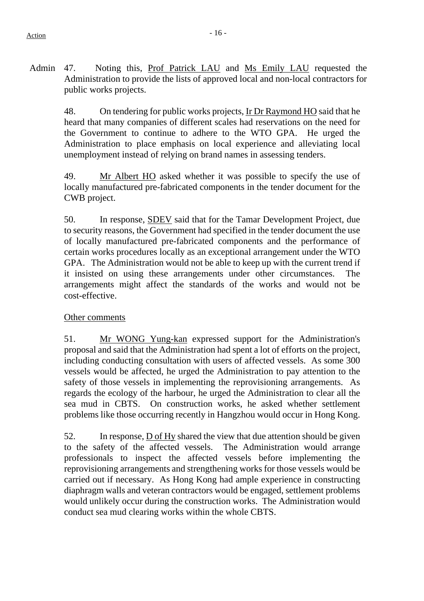Admin 47. Noting this, Prof Patrick LAU and Ms Emily LAU requested the Administration to provide the lists of approved local and non-local contractors for public works projects.

> 48. On tendering for public works projects, Ir Dr Raymond HO said that he heard that many companies of different scales had reservations on the need for the Government to continue to adhere to the WTO GPA. He urged the Administration to place emphasis on local experience and alleviating local unemployment instead of relying on brand names in assessing tenders.

> 49. Mr Albert HO asked whether it was possible to specify the use of locally manufactured pre-fabricated components in the tender document for the CWB project.

> 50. In response, SDEV said that for the Tamar Development Project, due to security reasons, the Government had specified in the tender document the use of locally manufactured pre-fabricated components and the performance of certain works procedures locally as an exceptional arrangement under the WTO GPA. The Administration would not be able to keep up with the current trend if it insisted on using these arrangements under other circumstances. The arrangements might affect the standards of the works and would not be cost-effective.

## Other comments

51. Mr WONG Yung-kan expressed support for the Administration's proposal and said that the Administration had spent a lot of efforts on the project, including conducting consultation with users of affected vessels. As some 300 vessels would be affected, he urged the Administration to pay attention to the safety of those vessels in implementing the reprovisioning arrangements. As regards the ecology of the harbour, he urged the Administration to clear all the sea mud in CBTS. On construction works, he asked whether settlement problems like those occurring recently in Hangzhou would occur in Hong Kong.

52. In response, D of Hy shared the view that due attention should be given to the safety of the affected vessels. The Administration would arrange professionals to inspect the affected vessels before implementing the reprovisioning arrangements and strengthening works for those vessels would be carried out if necessary. As Hong Kong had ample experience in constructing diaphragm walls and veteran contractors would be engaged, settlement problems would unlikely occur during the construction works. The Administration would conduct sea mud clearing works within the whole CBTS.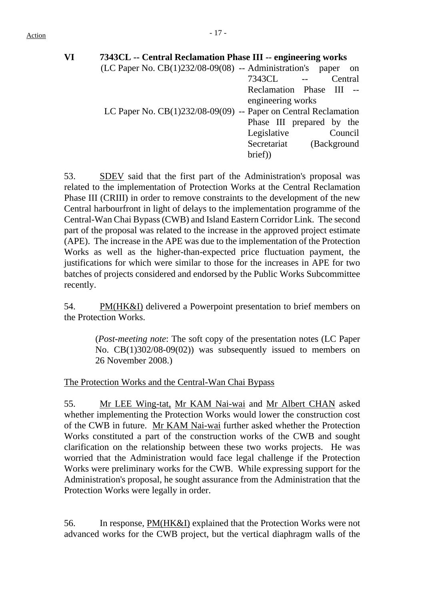| VI | 7343CL -- Central Reclamation Phase III -- engineering works         |
|----|----------------------------------------------------------------------|
|    | $(LC$ Paper No. $CB(1)232/08-09(08)$ -- Administration's paper<br>on |
|    | 7343CL --<br>Central                                                 |
|    | Reclamation Phase III --                                             |
|    | engineering works                                                    |
|    | LC Paper No. CB(1)232/08-09(09) -- Paper on Central Reclamation      |
|    | Phase III prepared by the                                            |
|    | Legislative<br>Council                                               |
|    | Secretariat<br>(Background                                           |
|    | brief)                                                               |

53. SDEV said that the first part of the Administration's proposal was related to the implementation of Protection Works at the Central Reclamation Phase III (CRIII) in order to remove constraints to the development of the new Central harbourfront in light of delays to the implementation programme of the Central-Wan Chai Bypass (CWB) and Island Eastern Corridor Link. The second part of the proposal was related to the increase in the approved project estimate (APE). The increase in the APE was due to the implementation of the Protection Works as well as the higher-than-expected price fluctuation payment, the justifications for which were similar to those for the increases in APE for two batches of projects considered and endorsed by the Public Works Subcommittee recently.

54. PM(HK&I) delivered a Powerpoint presentation to brief members on the Protection Works.

> (*Post-meeting note*: The soft copy of the presentation notes (LC Paper No. CB(1)302/08-09(02)) was subsequently issued to members on 26 November 2008.)

The Protection Works and the Central-Wan Chai Bypass

55. Mr LEE Wing-tat, Mr KAM Nai-wai and Mr Albert CHAN asked whether implementing the Protection Works would lower the construction cost of the CWB in future. Mr KAM Nai-wai further asked whether the Protection Works constituted a part of the construction works of the CWB and sought clarification on the relationship between these two works projects. He was worried that the Administration would face legal challenge if the Protection Works were preliminary works for the CWB. While expressing support for the Administration's proposal, he sought assurance from the Administration that the Protection Works were legally in order.

56. In response, PM(HK&I) explained that the Protection Works were not advanced works for the CWB project, but the vertical diaphragm walls of the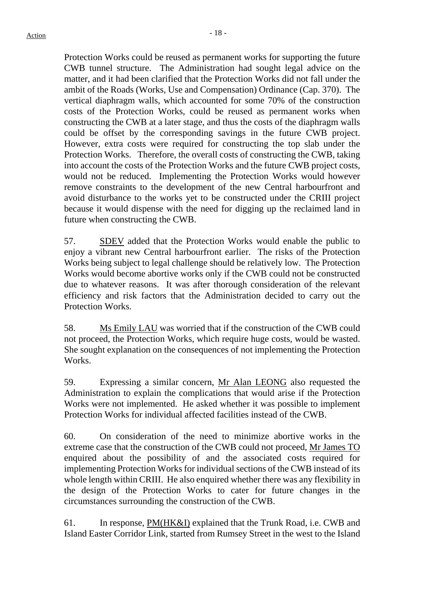Protection Works could be reused as permanent works for supporting the future CWB tunnel structure. The Administration had sought legal advice on the matter, and it had been clarified that the Protection Works did not fall under the ambit of the Roads (Works, Use and Compensation) Ordinance (Cap. 370). The vertical diaphragm walls, which accounted for some 70% of the construction costs of the Protection Works, could be reused as permanent works when constructing the CWB at a later stage, and thus the costs of the diaphragm walls could be offset by the corresponding savings in the future CWB project. However, extra costs were required for constructing the top slab under the Protection Works. Therefore, the overall costs of constructing the CWB, taking into account the costs of the Protection Works and the future CWB project costs, would not be reduced. Implementing the Protection Works would however remove constraints to the development of the new Central harbourfront and avoid disturbance to the works yet to be constructed under the CRIII project because it would dispense with the need for digging up the reclaimed land in future when constructing the CWB.

57. SDEV added that the Protection Works would enable the public to enjoy a vibrant new Central harbourfront earlier. The risks of the Protection Works being subject to legal challenge should be relatively low. The Protection Works would become abortive works only if the CWB could not be constructed due to whatever reasons. It was after thorough consideration of the relevant efficiency and risk factors that the Administration decided to carry out the Protection Works.

58. Ms Emily LAU was worried that if the construction of the CWB could not proceed, the Protection Works, which require huge costs, would be wasted. She sought explanation on the consequences of not implementing the Protection Works.

59. Expressing a similar concern, Mr Alan LEONG also requested the Administration to explain the complications that would arise if the Protection Works were not implemented. He asked whether it was possible to implement Protection Works for individual affected facilities instead of the CWB.

60. On consideration of the need to minimize abortive works in the extreme case that the construction of the CWB could not proceed, Mr James TO enquired about the possibility of and the associated costs required for implementing Protection Works for individual sections of the CWB instead of its whole length within CRIII. He also enquired whether there was any flexibility in the design of the Protection Works to cater for future changes in the circumstances surrounding the construction of the CWB.

61. In response, PM(HK&I) explained that the Trunk Road, i.e. CWB and Island Easter Corridor Link, started from Rumsey Street in the west to the Island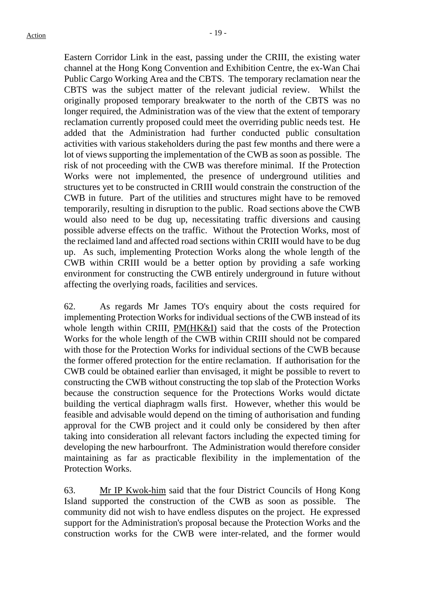Eastern Corridor Link in the east, passing under the CRIII, the existing water channel at the Hong Kong Convention and Exhibition Centre, the ex-Wan Chai Public Cargo Working Area and the CBTS. The temporary reclamation near the CBTS was the subject matter of the relevant judicial review. Whilst the originally proposed temporary breakwater to the north of the CBTS was no longer required, the Administration was of the view that the extent of temporary reclamation currently proposed could meet the overriding public needs test. He added that the Administration had further conducted public consultation activities with various stakeholders during the past few months and there were a lot of views supporting the implementation of the CWB as soon as possible. The risk of not proceeding with the CWB was therefore minimal. If the Protection Works were not implemented, the presence of underground utilities and structures yet to be constructed in CRIII would constrain the construction of the CWB in future. Part of the utilities and structures might have to be removed temporarily, resulting in disruption to the public. Road sections above the CWB would also need to be dug up, necessitating traffic diversions and causing possible adverse effects on the traffic. Without the Protection Works, most of the reclaimed land and affected road sections within CRIII would have to be dug up. As such, implementing Protection Works along the whole length of the CWB within CRIII would be a better option by providing a safe working environment for constructing the CWB entirely underground in future without affecting the overlying roads, facilities and services.

62. As regards Mr James TO's enquiry about the costs required for implementing Protection Works for individual sections of the CWB instead of its whole length within CRIII, PM(HK&I) said that the costs of the Protection Works for the whole length of the CWB within CRIII should not be compared with those for the Protection Works for individual sections of the CWB because the former offered protection for the entire reclamation. If authorisation for the CWB could be obtained earlier than envisaged, it might be possible to revert to constructing the CWB without constructing the top slab of the Protection Works because the construction sequence for the Protections Works would dictate building the vertical diaphragm walls first. However, whether this would be feasible and advisable would depend on the timing of authorisation and funding approval for the CWB project and it could only be considered by then after taking into consideration all relevant factors including the expected timing for developing the new harbourfront. The Administration would therefore consider maintaining as far as practicable flexibility in the implementation of the Protection Works.

63. Mr IP Kwok-him said that the four District Councils of Hong Kong Island supported the construction of the CWB as soon as possible. The community did not wish to have endless disputes on the project. He expressed support for the Administration's proposal because the Protection Works and the construction works for the CWB were inter-related, and the former would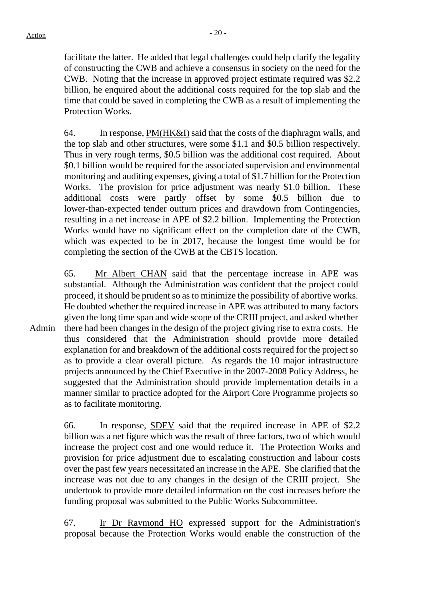facilitate the latter. He added that legal challenges could help clarify the legality of constructing the CWB and achieve a consensus in society on the need for the CWB. Noting that the increase in approved project estimate required was \$2.2 billion, he enquired about the additional costs required for the top slab and the time that could be saved in completing the CWB as a result of implementing the Protection Works.

64. In response, PM(HK&I) said that the costs of the diaphragm walls, and the top slab and other structures, were some \$1.1 and \$0.5 billion respectively. Thus in very rough terms, \$0.5 billion was the additional cost required. About \$0.1 billion would be required for the associated supervision and environmental monitoring and auditing expenses, giving a total of \$1.7 billion for the Protection Works. The provision for price adjustment was nearly \$1.0 billion. These additional costs were partly offset by some \$0.5 billion due to lower-than-expected tender outturn prices and drawdown from Contingencies, resulting in a net increase in APE of \$2.2 billion. Implementing the Protection Works would have no significant effect on the completion date of the CWB, which was expected to be in 2017, because the longest time would be for completing the section of the CWB at the CBTS location.

Admin 65. Mr Albert CHAN said that the percentage increase in APE was substantial. Although the Administration was confident that the project could proceed, it should be prudent so as to minimize the possibility of abortive works. He doubted whether the required increase in APE was attributed to many factors given the long time span and wide scope of the CRIII project, and asked whether there had been changes in the design of the project giving rise to extra costs. He thus considered that the Administration should provide more detailed explanation for and breakdown of the additional costs required for the project so as to provide a clear overall picture. As regards the 10 major infrastructure projects announced by the Chief Executive in the 2007-2008 Policy Address, he suggested that the Administration should provide implementation details in a manner similar to practice adopted for the Airport Core Programme projects so as to facilitate monitoring.

> 66. In response, SDEV said that the required increase in APE of \$2.2 billion was a net figure which was the result of three factors, two of which would increase the project cost and one would reduce it. The Protection Works and provision for price adjustment due to escalating construction and labour costs over the past few years necessitated an increase in the APE. She clarified that the increase was not due to any changes in the design of the CRIII project. She undertook to provide more detailed information on the cost increases before the funding proposal was submitted to the Public Works Subcommittee.

> 67. Ir Dr Raymond HO expressed support for the Administration's proposal because the Protection Works would enable the construction of the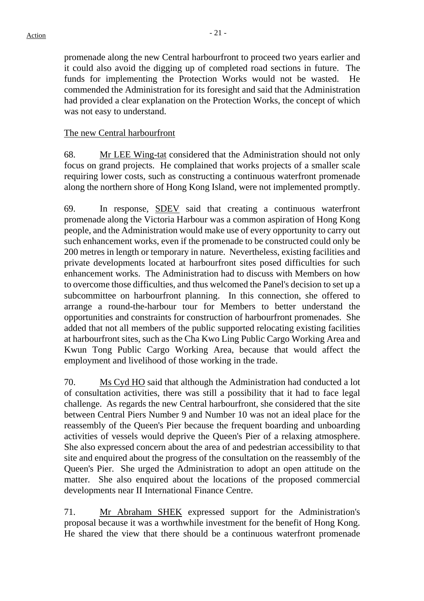promenade along the new Central harbourfront to proceed two years earlier and it could also avoid the digging up of completed road sections in future. The funds for implementing the Protection Works would not be wasted. He commended the Administration for its foresight and said that the Administration had provided a clear explanation on the Protection Works, the concept of which was not easy to understand.

#### The new Central harbourfront

68. Mr LEE Wing-tat considered that the Administration should not only focus on grand projects. He complained that works projects of a smaller scale requiring lower costs, such as constructing a continuous waterfront promenade along the northern shore of Hong Kong Island, were not implemented promptly.

69. In response, SDEV said that creating a continuous waterfront promenade along the Victoria Harbour was a common aspiration of Hong Kong people, and the Administration would make use of every opportunity to carry out such enhancement works, even if the promenade to be constructed could only be 200 metres in length or temporary in nature. Nevertheless, existing facilities and private developments located at harbourfront sites posed difficulties for such enhancement works. The Administration had to discuss with Members on how to overcome those difficulties, and thus welcomed the Panel's decision to set up a subcommittee on harbourfront planning. In this connection, she offered to arrange a round-the-harbour tour for Members to better understand the opportunities and constraints for construction of harbourfront promenades. She added that not all members of the public supported relocating existing facilities at harbourfront sites, such as the Cha Kwo Ling Public Cargo Working Area and Kwun Tong Public Cargo Working Area, because that would affect the employment and livelihood of those working in the trade.

70. Ms Cyd HO said that although the Administration had conducted a lot of consultation activities, there was still a possibility that it had to face legal challenge. As regards the new Central harbourfront, she considered that the site between Central Piers Number 9 and Number 10 was not an ideal place for the reassembly of the Queen's Pier because the frequent boarding and unboarding activities of vessels would deprive the Queen's Pier of a relaxing atmosphere. She also expressed concern about the area of and pedestrian accessibility to that site and enquired about the progress of the consultation on the reassembly of the Queen's Pier. She urged the Administration to adopt an open attitude on the matter. She also enquired about the locations of the proposed commercial developments near II International Finance Centre.

71. Mr Abraham SHEK expressed support for the Administration's proposal because it was a worthwhile investment for the benefit of Hong Kong. He shared the view that there should be a continuous waterfront promenade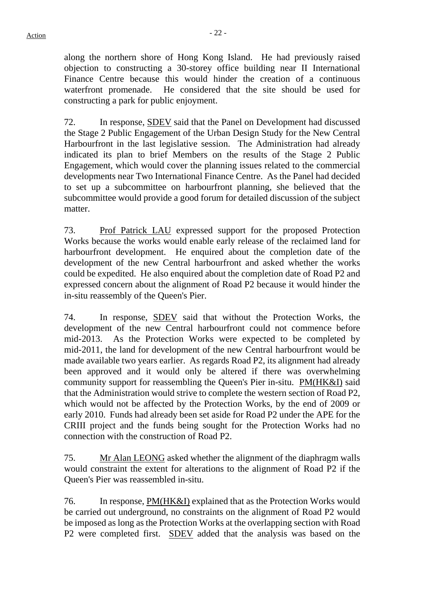along the northern shore of Hong Kong Island. He had previously raised objection to constructing a 30-storey office building near II International Finance Centre because this would hinder the creation of a continuous waterfront promenade. He considered that the site should be used for constructing a park for public enjoyment.

72. In response, SDEV said that the Panel on Development had discussed the Stage 2 Public Engagement of the Urban Design Study for the New Central Harbourfront in the last legislative session. The Administration had already indicated its plan to brief Members on the results of the Stage 2 Public Engagement, which would cover the planning issues related to the commercial developments near Two International Finance Centre. As the Panel had decided to set up a subcommittee on harbourfront planning, she believed that the subcommittee would provide a good forum for detailed discussion of the subject matter.

73. Prof Patrick LAU expressed support for the proposed Protection Works because the works would enable early release of the reclaimed land for harbourfront development. He enquired about the completion date of the development of the new Central harbourfront and asked whether the works could be expedited. He also enquired about the completion date of Road P2 and expressed concern about the alignment of Road P2 because it would hinder the in-situ reassembly of the Queen's Pier.

74. In response, SDEV said that without the Protection Works, the development of the new Central harbourfront could not commence before mid-2013. As the Protection Works were expected to be completed by mid-2011, the land for development of the new Central harbourfront would be made available two years earlier. As regards Road P2, its alignment had already been approved and it would only be altered if there was overwhelming community support for reassembling the Queen's Pier in-situ. PM(HK&I) said that the Administration would strive to complete the western section of Road P2, which would not be affected by the Protection Works, by the end of 2009 or early 2010. Funds had already been set aside for Road P2 under the APE for the CRIII project and the funds being sought for the Protection Works had no connection with the construction of Road P2.

75. Mr Alan LEONG asked whether the alignment of the diaphragm walls would constraint the extent for alterations to the alignment of Road P2 if the Queen's Pier was reassembled in-situ.

76. In response, PM(HK&I) explained that as the Protection Works would be carried out underground, no constraints on the alignment of Road P2 would be imposed as long as the Protection Works at the overlapping section with Road P2 were completed first. SDEV added that the analysis was based on the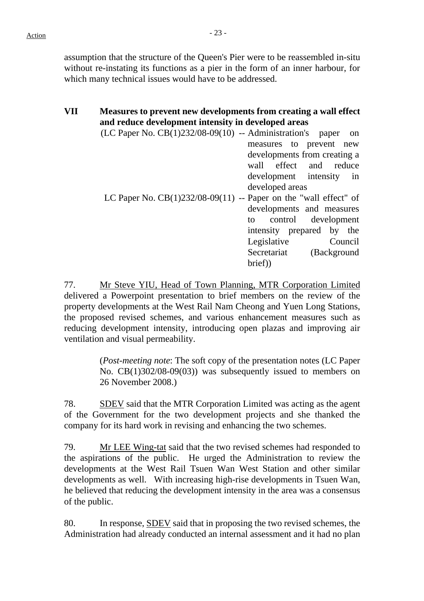$Action$ 

assumption that the structure of the Queen's Pier were to be reassembled in-situ without re-instating its functions as a pier in the form of an inner harbour, for which many technical issues would have to be addressed.

# **VII Measures to prevent new developments from creating a wall effect and reduce development intensity in developed areas**

| $(LC$ Paper No. $CB(1)232/08-09(10)$ -- Administration's paper     | on                           |
|--------------------------------------------------------------------|------------------------------|
|                                                                    | measures to prevent new      |
|                                                                    | developments from creating a |
|                                                                    | wall effect and reduce       |
|                                                                    | development intensity in     |
|                                                                    | developed areas              |
| LC Paper No. $CB(1)232/08-09(11)$ -- Paper on the "wall effect" of |                              |
|                                                                    | developments and measures    |
|                                                                    | control development<br>to    |
|                                                                    | intensity prepared by the    |
|                                                                    | Legislative<br>Council       |
|                                                                    | Secretariat (Background      |
|                                                                    | brief)                       |

77. Mr Steve YIU, Head of Town Planning, MTR Corporation Limited delivered a Powerpoint presentation to brief members on the review of the property developments at the West Rail Nam Cheong and Yuen Long Stations, the proposed revised schemes, and various enhancement measures such as reducing development intensity, introducing open plazas and improving air ventilation and visual permeability.

> (*Post-meeting note*: The soft copy of the presentation notes (LC Paper No. CB(1)302/08-09(03)) was subsequently issued to members on 26 November 2008.)

78. SDEV said that the MTR Corporation Limited was acting as the agent of the Government for the two development projects and she thanked the company for its hard work in revising and enhancing the two schemes.

79. Mr LEE Wing-tat said that the two revised schemes had responded to the aspirations of the public. He urged the Administration to review the developments at the West Rail Tsuen Wan West Station and other similar developments as well. With increasing high-rise developments in Tsuen Wan, he believed that reducing the development intensity in the area was a consensus of the public.

80. In response, SDEV said that in proposing the two revised schemes, the Administration had already conducted an internal assessment and it had no plan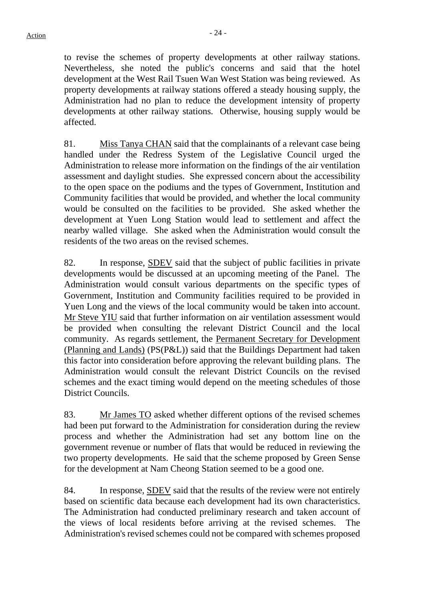to revise the schemes of property developments at other railway stations. Nevertheless, she noted the public's concerns and said that the hotel development at the West Rail Tsuen Wan West Station was being reviewed. As property developments at railway stations offered a steady housing supply, the Administration had no plan to reduce the development intensity of property developments at other railway stations. Otherwise, housing supply would be affected.

81. Miss Tanya CHAN said that the complainants of a relevant case being handled under the Redress System of the Legislative Council urged the Administration to release more information on the findings of the air ventilation assessment and daylight studies. She expressed concern about the accessibility to the open space on the podiums and the types of Government, Institution and Community facilities that would be provided, and whether the local community would be consulted on the facilities to be provided. She asked whether the development at Yuen Long Station would lead to settlement and affect the nearby walled village. She asked when the Administration would consult the residents of the two areas on the revised schemes.

82. In response, SDEV said that the subject of public facilities in private developments would be discussed at an upcoming meeting of the Panel. The Administration would consult various departments on the specific types of Government, Institution and Community facilities required to be provided in Yuen Long and the views of the local community would be taken into account. Mr Steve YIU said that further information on air ventilation assessment would be provided when consulting the relevant District Council and the local community. As regards settlement, the Permanent Secretary for Development (Planning and Lands) (PS(P&L)) said that the Buildings Department had taken this factor into consideration before approving the relevant building plans. The Administration would consult the relevant District Councils on the revised schemes and the exact timing would depend on the meeting schedules of those District Councils.

83. Mr James TO asked whether different options of the revised schemes had been put forward to the Administration for consideration during the review process and whether the Administration had set any bottom line on the government revenue or number of flats that would be reduced in reviewing the two property developments. He said that the scheme proposed by Green Sense for the development at Nam Cheong Station seemed to be a good one.

84. In response, SDEV said that the results of the review were not entirely based on scientific data because each development had its own characteristics. The Administration had conducted preliminary research and taken account of the views of local residents before arriving at the revised schemes. The Administration's revised schemes could not be compared with schemes proposed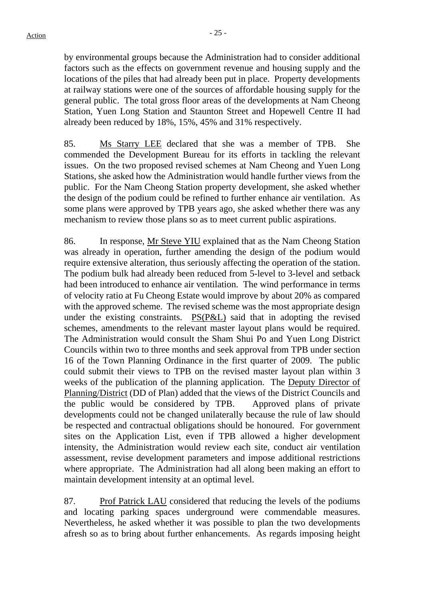by environmental groups because the Administration had to consider additional factors such as the effects on government revenue and housing supply and the locations of the piles that had already been put in place. Property developments at railway stations were one of the sources of affordable housing supply for the general public. The total gross floor areas of the developments at Nam Cheong Station, Yuen Long Station and Staunton Street and Hopewell Centre II had already been reduced by 18%, 15%, 45% and 31% respectively.

85. Ms Starry LEE declared that she was a member of TPB. She commended the Development Bureau for its efforts in tackling the relevant issues. On the two proposed revised schemes at Nam Cheong and Yuen Long Stations, she asked how the Administration would handle further views from the public. For the Nam Cheong Station property development, she asked whether the design of the podium could be refined to further enhance air ventilation. As some plans were approved by TPB years ago, she asked whether there was any mechanism to review those plans so as to meet current public aspirations.

86. In response, Mr Steve YIU explained that as the Nam Cheong Station was already in operation, further amending the design of the podium would require extensive alteration, thus seriously affecting the operation of the station. The podium bulk had already been reduced from 5-level to 3-level and setback had been introduced to enhance air ventilation. The wind performance in terms of velocity ratio at Fu Cheong Estate would improve by about 20% as compared with the approved scheme. The revised scheme was the most appropriate design under the existing constraints. PS(P&L) said that in adopting the revised schemes, amendments to the relevant master layout plans would be required. The Administration would consult the Sham Shui Po and Yuen Long District Councils within two to three months and seek approval from TPB under section 16 of the Town Planning Ordinance in the first quarter of 2009. The public could submit their views to TPB on the revised master layout plan within 3 weeks of the publication of the planning application. The Deputy Director of Planning/District (DD of Plan) added that the views of the District Councils and the public would be considered by TPB. Approved plans of private developments could not be changed unilaterally because the rule of law should be respected and contractual obligations should be honoured. For government sites on the Application List, even if TPB allowed a higher development intensity, the Administration would review each site, conduct air ventilation assessment, revise development parameters and impose additional restrictions where appropriate. The Administration had all along been making an effort to maintain development intensity at an optimal level.

87. Prof Patrick LAU considered that reducing the levels of the podiums and locating parking spaces underground were commendable measures. Nevertheless, he asked whether it was possible to plan the two developments afresh so as to bring about further enhancements. As regards imposing height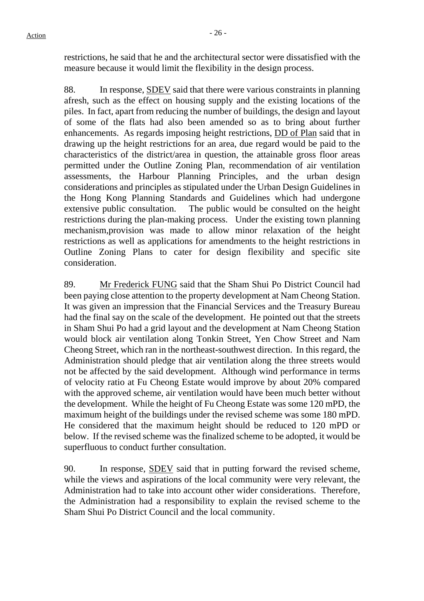restrictions, he said that he and the architectural sector were dissatisfied with the measure because it would limit the flexibility in the design process.

88. In response, SDEV said that there were various constraints in planning afresh, such as the effect on housing supply and the existing locations of the piles. In fact, apart from reducing the number of buildings, the design and layout of some of the flats had also been amended so as to bring about further enhancements. As regards imposing height restrictions, DD of Plan said that in drawing up the height restrictions for an area, due regard would be paid to the characteristics of the district/area in question, the attainable gross floor areas permitted under the Outline Zoning Plan, recommendation of air ventilation assessments, the Harbour Planning Principles, and the urban design considerations and principles as stipulated under the Urban Design Guidelines in the Hong Kong Planning Standards and Guidelines which had undergone extensive public consultation. The public would be consulted on the height restrictions during the plan-making process. Under the existing town planning mechanism,provision was made to allow minor relaxation of the height restrictions as well as applications for amendments to the height restrictions in Outline Zoning Plans to cater for design flexibility and specific site consideration.

89. Mr Frederick FUNG said that the Sham Shui Po District Council had been paying close attention to the property development at Nam Cheong Station. It was given an impression that the Financial Services and the Treasury Bureau had the final say on the scale of the development. He pointed out that the streets in Sham Shui Po had a grid layout and the development at Nam Cheong Station would block air ventilation along Tonkin Street, Yen Chow Street and Nam Cheong Street, which ran in the northeast-southwest direction. In this regard, the Administration should pledge that air ventilation along the three streets would not be affected by the said development. Although wind performance in terms of velocity ratio at Fu Cheong Estate would improve by about 20% compared with the approved scheme, air ventilation would have been much better without the development. While the height of Fu Cheong Estate was some 120 mPD, the maximum height of the buildings under the revised scheme was some 180 mPD. He considered that the maximum height should be reduced to 120 mPD or below. If the revised scheme was the finalized scheme to be adopted, it would be superfluous to conduct further consultation.

90. In response, SDEV said that in putting forward the revised scheme, while the views and aspirations of the local community were very relevant, the Administration had to take into account other wider considerations. Therefore, the Administration had a responsibility to explain the revised scheme to the Sham Shui Po District Council and the local community.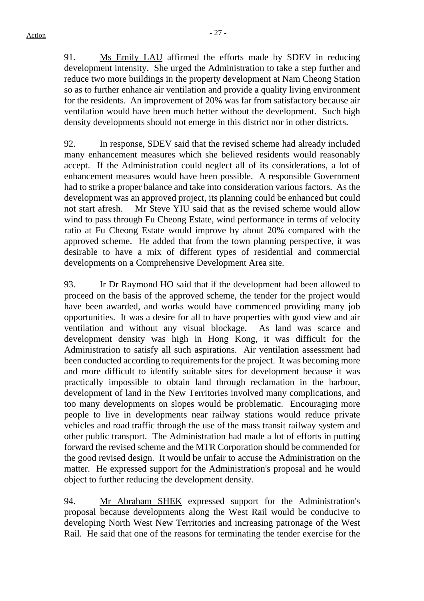91. Ms Emily LAU affirmed the efforts made by SDEV in reducing development intensity. She urged the Administration to take a step further and reduce two more buildings in the property development at Nam Cheong Station so as to further enhance air ventilation and provide a quality living environment for the residents. An improvement of 20% was far from satisfactory because air ventilation would have been much better without the development. Such high density developments should not emerge in this district nor in other districts.

92. In response, SDEV said that the revised scheme had already included many enhancement measures which she believed residents would reasonably accept. If the Administration could neglect all of its considerations, a lot of enhancement measures would have been possible. A responsible Government had to strike a proper balance and take into consideration various factors. As the development was an approved project, its planning could be enhanced but could not start afresh. Mr Steve YIU said that as the revised scheme would allow wind to pass through Fu Cheong Estate, wind performance in terms of velocity ratio at Fu Cheong Estate would improve by about 20% compared with the approved scheme. He added that from the town planning perspective, it was desirable to have a mix of different types of residential and commercial developments on a Comprehensive Development Area site.

93. Ir Dr Raymond HO said that if the development had been allowed to proceed on the basis of the approved scheme, the tender for the project would have been awarded, and works would have commenced providing many job opportunities. It was a desire for all to have properties with good view and air ventilation and without any visual blockage. As land was scarce and development density was high in Hong Kong, it was difficult for the Administration to satisfy all such aspirations. Air ventilation assessment had been conducted according to requirements for the project. It was becoming more and more difficult to identify suitable sites for development because it was practically impossible to obtain land through reclamation in the harbour, development of land in the New Territories involved many complications, and too many developments on slopes would be problematic. Encouraging more people to live in developments near railway stations would reduce private vehicles and road traffic through the use of the mass transit railway system and other public transport. The Administration had made a lot of efforts in putting forward the revised scheme and the MTR Corporation should be commended for the good revised design. It would be unfair to accuse the Administration on the matter. He expressed support for the Administration's proposal and he would object to further reducing the development density.

94. Mr Abraham SHEK expressed support for the Administration's proposal because developments along the West Rail would be conducive to developing North West New Territories and increasing patronage of the West Rail. He said that one of the reasons for terminating the tender exercise for the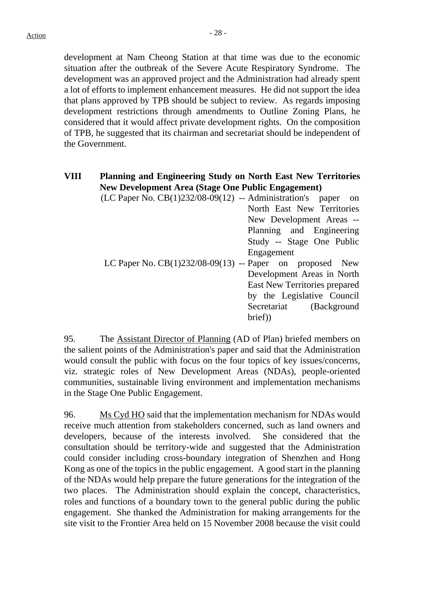development at Nam Cheong Station at that time was due to the economic situation after the outbreak of the Severe Acute Respiratory Syndrome. The development was an approved project and the Administration had already spent a lot of efforts to implement enhancement measures. He did not support the idea that plans approved by TPB should be subject to review. As regards imposing development restrictions through amendments to Outline Zoning Plans, he considered that it would affect private development rights. On the composition of TPB, he suggested that its chairman and secretariat should be independent of the Government.

# **VIII Planning and Engineering Study on North East New Territories New Development Area (Stage One Public Engagement)**

| $(LC$ Paper No. $CB(1)232/08-09(12)$ -- Administration's paper on |                               |
|-------------------------------------------------------------------|-------------------------------|
|                                                                   | North East New Territories    |
|                                                                   | New Development Areas --      |
|                                                                   | Planning and Engineering      |
|                                                                   | Study -- Stage One Public     |
|                                                                   | Engagement                    |
| LC Paper No. $CB(1)232/08-09(13)$ -- Paper on proposed New        |                               |
|                                                                   | Development Areas in North    |
|                                                                   | East New Territories prepared |
|                                                                   | by the Legislative Council    |
|                                                                   | Secretariat (Background       |
|                                                                   | brief)                        |

95. The Assistant Director of Planning (AD of Plan) briefed members on the salient points of the Administration's paper and said that the Administration would consult the public with focus on the four topics of key issues/concerns, viz. strategic roles of New Development Areas (NDAs), people-oriented communities, sustainable living environment and implementation mechanisms in the Stage One Public Engagement.

96. Ms Cyd HO said that the implementation mechanism for NDAs would receive much attention from stakeholders concerned, such as land owners and developers, because of the interests involved. She considered that the consultation should be territory-wide and suggested that the Administration could consider including cross-boundary integration of Shenzhen and Hong Kong as one of the topics in the public engagement. A good start in the planning of the NDAs would help prepare the future generations for the integration of the two places. The Administration should explain the concept, characteristics, roles and functions of a boundary town to the general public during the public engagement. She thanked the Administration for making arrangements for the site visit to the Frontier Area held on 15 November 2008 because the visit could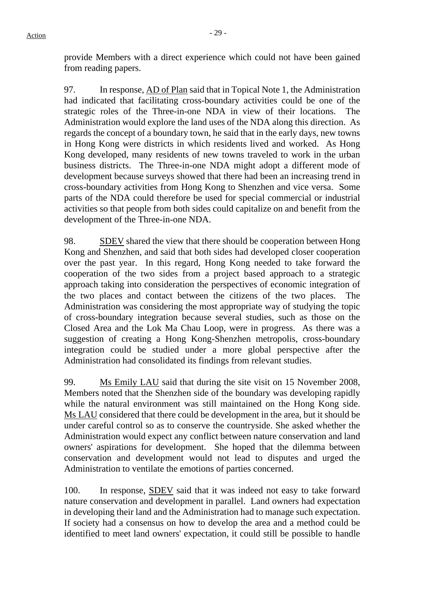provide Members with a direct experience which could not have been gained from reading papers.

97. In response, AD of Plan said that in Topical Note 1, the Administration had indicated that facilitating cross-boundary activities could be one of the strategic roles of the Three-in-one NDA in view of their locations. The Administration would explore the land uses of the NDA along this direction. As regards the concept of a boundary town, he said that in the early days, new towns in Hong Kong were districts in which residents lived and worked. As Hong Kong developed, many residents of new towns traveled to work in the urban business districts. The Three-in-one NDA might adopt a different mode of development because surveys showed that there had been an increasing trend in cross-boundary activities from Hong Kong to Shenzhen and vice versa. Some parts of the NDA could therefore be used for special commercial or industrial activities so that people from both sides could capitalize on and benefit from the development of the Three-in-one NDA.

98. SDEV shared the view that there should be cooperation between Hong Kong and Shenzhen, and said that both sides had developed closer cooperation over the past year. In this regard, Hong Kong needed to take forward the cooperation of the two sides from a project based approach to a strategic approach taking into consideration the perspectives of economic integration of the two places and contact between the citizens of the two places. The Administration was considering the most appropriate way of studying the topic of cross-boundary integration because several studies, such as those on the Closed Area and the Lok Ma Chau Loop, were in progress. As there was a suggestion of creating a Hong Kong-Shenzhen metropolis, cross-boundary integration could be studied under a more global perspective after the Administration had consolidated its findings from relevant studies.

99. Ms Emily LAU said that during the site visit on 15 November 2008, Members noted that the Shenzhen side of the boundary was developing rapidly while the natural environment was still maintained on the Hong Kong side. Ms LAU considered that there could be development in the area, but it should be under careful control so as to conserve the countryside. She asked whether the Administration would expect any conflict between nature conservation and land owners' aspirations for development. She hoped that the dilemma between conservation and development would not lead to disputes and urged the Administration to ventilate the emotions of parties concerned.

100. In response, SDEV said that it was indeed not easy to take forward nature conservation and development in parallel. Land owners had expectation in developing their land and the Administration had to manage such expectation. If society had a consensus on how to develop the area and a method could be identified to meet land owners' expectation, it could still be possible to handle